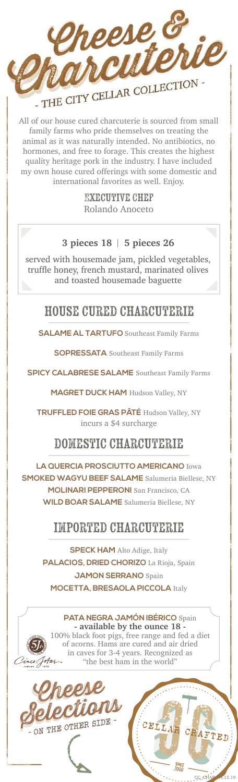

All of our house cured charcuterie is sourced from small family farms who pride themselves on treating the animal as it was naturally intended. No antibiotics, no hormones, and free to forage. This creates the highest quality heritage pork in the industry. I have included my own house cured offerings with some domestic and international favorites as well. Enjoy.

> Executive Chef Rolando Anoceto

#### **3 pieces 18** | **5 pieces 26**

served with housemade jam, pickled vegetables, truffle honey, french mustard, marinated olives and toasted housemade baguette

# house cured charcuterie

**SALAME AL TARTUFO** Southeast Family Farms

**SOPRESSATA** Southeast Family Farms

**SPICY CALABRESE SALAME** Southeast Family Farms

**MAGRET DUCK HAM** Hudson Valley, NY

**TRUFFLED FOIE GRAS PÂTÉ** Hudson Valley, NY incurs a \$4 surcharge

# domestic charcuterie

**LA QUERCIA PROSCIUTTO AMERICANO** Iowa **SMOKED WAGYU BEEF SALAME** Salumeria Biellese, NY **MOLINARI PEPPERONI** San Francisco, CA **WILD BOAR SALAME** Salumeria Biellese, NY

# imported charcuterie

**SPECK HAM** Alto Adige, Italy **PALACIOS, DRIED CHORIZO** La Rioja, Spain **JAMON SERRANO** Spain **MOCETTA, BRESAOLA PICCOLA** Italy

**PATA NEGRA JAMÓN IBÉRICO** Spain **- available by the ounce 18 -** 100% black foot pigs, free range and fed a diet of acorns. Hams are cured and air dried in caves for 3-4 years. Recognized as Totas-"the best ham in the world"

 $5.19$ 

CELLAR CRAFTED

 $\frac{SINCF}{2000}$